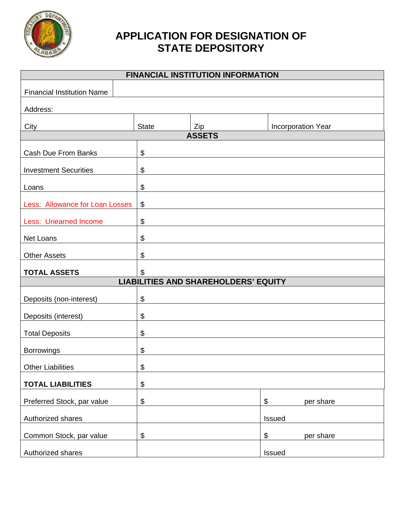

## **APPLICATION FOR DESIGNATION OF STATE DEPOSITORY**

| <b>FINANCIAL INSTITUTION INFORMATION</b>    |                       |     |                                |  |
|---------------------------------------------|-----------------------|-----|--------------------------------|--|
| <b>Financial Institution Name</b>           |                       |     |                                |  |
| Address:                                    |                       |     |                                |  |
| City                                        | <b>State</b>          | Zip | Incorporation Year             |  |
| <b>ASSETS</b>                               |                       |     |                                |  |
| <b>Cash Due From Banks</b>                  | \$                    |     |                                |  |
| <b>Investment Securities</b>                | \$                    |     |                                |  |
| Loans                                       | \$                    |     |                                |  |
| Less: Allowance for Loan Losses             | $\boldsymbol{\theta}$ |     |                                |  |
| <b>Less: Unearned Income</b>                | \$                    |     |                                |  |
| Net Loans                                   | $\boldsymbol{\theta}$ |     |                                |  |
| <b>Other Assets</b>                         | \$                    |     |                                |  |
| <b>TOTAL ASSETS</b>                         | \$                    |     |                                |  |
| <b>LIABILITIES AND SHAREHOLDERS' EQUITY</b> |                       |     |                                |  |
| Deposits (non-interest)                     | \$                    |     |                                |  |
| Deposits (interest)                         | \$                    |     |                                |  |
| <b>Total Deposits</b>                       | \$                    |     |                                |  |
| <b>Borrowings</b>                           | \$                    |     |                                |  |
| <b>Other Liabilities</b>                    | \$                    |     |                                |  |
| <b>TOTAL LIABILITIES</b>                    | \$                    |     |                                |  |
| Preferred Stock, par value                  | $\boldsymbol{\theta}$ |     | $\boldsymbol{\$}$<br>per share |  |
| Authorized shares                           |                       |     | Issued                         |  |
| Common Stock, par value                     | \$                    |     | $\, \, \$$<br>per share        |  |
| Authorized shares                           |                       |     | Issued                         |  |